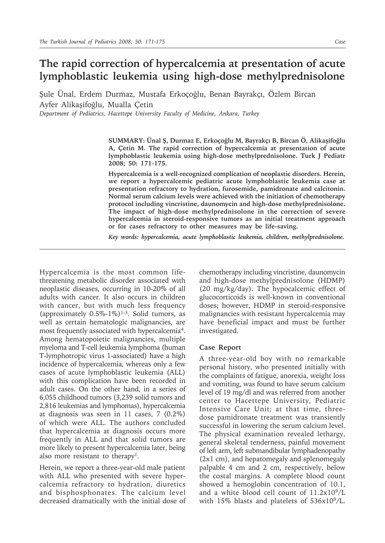# **The rapid correction of hypercalcemia at presentation of acute lymphoblastic leukemia using high-dose methylprednisolone**

Şule Ünal, Erdem Durmaz, Mustafa Erkoçoğlu, Benan Bayrakçı, Özlem Bircan Ayfer Alikaşifoğlu, Mualla Çetin

*Department of Pediatrics, Hacettepe University Faculty of Medicine, Ankara, Turkey*

**SUMMARY: Ünal Ş, Durmaz E, Erkoçoğlu M, Bayrakçı B, Bircan Ö, Alikaşifoğlu A, Çetin M. The rapid correction of hypercalcemia at presentation of acute lymphoblastic leukemia using high-dose methylprednisolone. Turk J Pediatr 2008; 50: 171-175.**

**Hypercalcemia is a well-recognized complication of neoplastic disorders. Herein, we report a hypercalcemic pediatric acute lymphoblastic leukemia case at presentation refractory to hydration, furosemide, pamidronate and calcitonin. Normal serum calcium levels were achieved with the initiation of chemotherapy protocol including vincristine, daunomycin and high-dose methylprednisolone. The impact of high-dose methylprednisolone in the correction of severe hypercalcemia in steroid-responsive tumors as an initial treatment approach or for cases refractory to other measures may be life-saving.**

*Key words: hypercalcemia, acute lymphoblastic leukemia, children, methylprednisolone.*

Hypercalcemia is the most common lifethreatening metabolic disorder associated with neoplastic diseases, occurring in 10-20% of all adults with cancer. It also occurs in children with cancer, but with much less frequency (approximately  $0.5\%$ -1%)<sup>1-3</sup>. Solid tumors, as well as certain hematologic malignancies, are most frequently associated with hypercalcemia<sup>4</sup>. Among hematopoietic malignancies, multiple myeloma and T-cell leukemia lymphoma (human T-lymphotropic virus 1-associated) have a high incidence of hypercalcemia, whereas only a few cases of acute lymphoblastic leukemia (ALL) with this complication have been recorded in adult cases. On the other hand, in a series of 6,055 childhood tumors (3,239 solid tumors and 2,816 leukemias and lymphomas), hypercalcemia at diagnosis was seen in 11 cases, 7 (0.2%) of which were ALL. The authors concluded that hypercalcemia at diagnosis occurs more frequently in ALL and that solid tumors are more likely to present hypercalcemia later, being also more resistant to therapy1.

Herein, we report a three-year-old male patient with ALL who presented with severe hypercalcemia refractory to hydration, diuretics and bisphosphonates. The calcium level decreased dramatically with the initial dose of chemotherapy including vincristine, daunomycin and high-dose methylprednisolone (HDMP) (20 mg/kg/day). The hypocalcemic effect of glucocorticoids is well-known in conventional doses; however, HDMP in steroid-responsive malignancies with resistant hypercalcemia may have beneficial impact and must be further investigated.

## **Case Report**

A three-year-old boy with no remarkable personal history, who presented initially with the complaints of fatigue, anorexia, weight loss and vomiting, was found to have serum calcium level of 19 mg/dl and was referred from another center to Hacettepe University, Pediatric Intensive Care Unit; at that time, threedose pamidronate treatment was transiently successful in lowering the serum calcium level. The physical examination revealed lethargy, general skeletal tenderness, painful movement of left arm, left submandibular lymphadenopathy (2x1 cm), and hepatomegaly and splenomegaly palpable 4 cm and 2 cm, respectively, below the costal margins. A complete blood count showed a hemoglobin concentration of 10.1, and a white blood cell count of 11.2x109/L with 15% blasts and platelets of 536x109/L.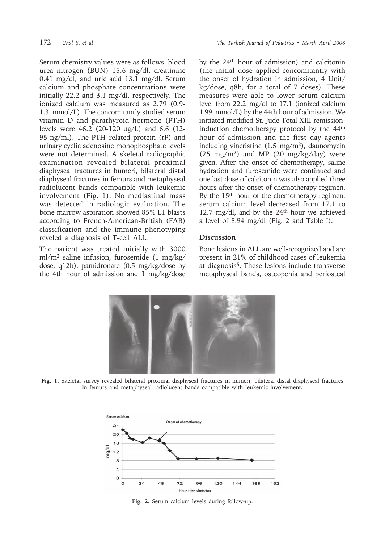Serum chemistry values were as follows: blood urea nitrogen (BUN) 15.6 mg/dl, creatinine 0.41 mg/dl, and uric acid 13.1 mg/dl. Serum calcium and phosphate concentrations were initially 22.2 and 3.1 mg/dl, respectively. The ionized calcium was measured as 2.79 (0.9- 1.3 mmol/L). The concomitantly studied serum vitamin D and parathyroid hormone (PTH) levels were 46.2 (20-120 µg/L) and 6.6 (12- 95 ng/ml). The PTH–related protein (rP) and urinary cyclic adenosine monophosphate levels were not determined. A skeletal radiographic examination revealed bilateral proximal diaphyseal fractures in humeri, bilateral distal diaphyseal fractures in femurs and metaphyseal radiolucent bands compatible with leukemic involvement (Fig. 1). No mediastinal mass was detected in radiologic evaluation. The bone marrow aspiration showed 85% L1 blasts according to French-American-British (FAB) classification and the immune phenotyping reveled a diagnosis of T-cell ALL.

The patient was treated initially with 3000 ml/m2 saline infusion, furosemide (1 mg/kg/ dose, q12h), pamidronate (0.5 mg/kg/dose by the 4th hour of admission and 1 mg/kg/dose by the 24th hour of admission) and calcitonin (the initial dose applied concomitantly with the onset of hydration in admission, 4 Unit/ kg/dose, q8h, for a total of 7 doses). These measures were able to lower serum calcium level from 22.2 mg/dl to 17.1 (ionized calcium 1.99 mmol/L) by the 44th hour of admission. We initiated modified St. Jude Total XIII remissioninduction chemotherapy protocol by the 44th hour of admission and the first day agents including vincristine (1.5 mg/m2), daunomycin  $(25 \text{ mg/m}^2)$  and MP  $(20 \text{ mg/kg/day})$  were given. After the onset of chemotherapy, saline hydration and furosemide were continued and one last dose of calcitonin was also applied three hours after the onset of chemotherapy regimen. By the 15th hour of the chemotherapy regimen, serum calcium level decreased from 17.1 to 12.7 mg/dl, and by the 24th hour we achieved a level of 8.94 mg/dl (Fig. 2 and Table I).

# **Discussion**

Bone lesions in ALL are well-recognized and are present in 21% of childhood cases of leukemia at diagnosis5. These lesions include transverse metaphyseal bands, osteopenia and periosteal



**Fig. 1.** Skeletal survey revealed bilateral proximal diaphyseal fractures in humeri, bilateral distal diaphyseal fractures in femurs and metaphyseal radiolucent bands compatible with leukemic involvement.



**Fig. 2.** Serum calcium levels during follow-up.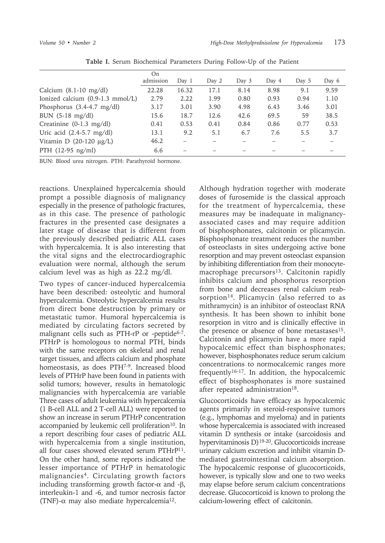|                                      | On<br>admission | Day 1 | Day $2$ | Day 3 | Day 4 | Day $5$ | Day 6 |
|--------------------------------------|-----------------|-------|---------|-------|-------|---------|-------|
| Calcium $(8.1-10 \text{ mg/dl})$     | 22.28           | 16.32 | 17.1    | 8.14  | 8.98  | 9.1     | 9.59  |
| Ionized calcium (0.9-1.3 mmol/L)     | 2.79            | 2.22  | 1.99    | 0.80  | 0.93  | 0.94    | 1.10  |
| Phosphorus $(3.4-4.7 \text{ mg/dl})$ | 3.17            | 3.01  | 3.90    | 4.98  | 6.43  | 3.46    | 3.01  |
| BUN (5-18 mg/dl)                     | 15.6            | 18.7  | 12.6    | 42.6  | 69.5  | 59      | 38.5  |
| Creatinine $(0-1.3 \text{ mg/dl})$   | 0.41            | 0.53  | 0.41    | 0.84  | 0.86  | 0.77    | 0.53  |
| Uric acid $(2.4-5.7 \text{ mg/dl})$  | 13.1            | 9.2   | 5.1     | 6.7   | 7.6   | 5.5     | 3.7   |
| Vitamin D $(20-120 \mu g/L)$         | 46.2            |       |         |       |       |         |       |
| PTH $(12-95 \text{ ng/ml})$          | 6.6             |       |         |       |       |         |       |

**Table I.** Serum Biochemical Parameters During Follow-Up of the Patient

BUN: Blood urea nitrogen. PTH: Parathyroid hormone.

reactions. Unexplained hypercalcemia should prompt a possible diagnosis of malignancy especially in the presence of pathologic fractures, as in this case. The presence of pathologic fractures in the presented case designates a later stage of disease that is different from the previously described pediatric ALL cases with hypercalcemia. It is also interesting that the vital signs and the electrocardiographic evaluation were normal, although the serum calcium level was as high as 22.2 mg/dl.

Two types of cancer-induced hypercalcemia have been described: osteolytic and humoral hypercalcemia. Osteolytic hypercalcemia results from direct bone destruction by primary or metastatic tumor. Humoral hypercalcemia is mediated by circulating factors secreted by malignant cells such as PTH-rP or -peptide<sup>6-7</sup>. PTHrP is homologous to normal PTH, binds with the same receptors on skeletal and renal target tissues, and affects calcium and phosphate homeostasis, as does PTH7-9. Increased blood levels of PTHrP have been found in patients with solid tumors; however, results in hematologic malignancies with hypercalcemia are variable Three cases of adult leukemia with hypercalcemia (1 B-cell ALL and 2 T-cell ALL) were reported to show an increase in serum PTHrP concentration accompanied by leukemic cell proliferation<sup>10</sup>. In a report describing four cases of pediatric ALL with hypercalcemia from a single institution, all four cases showed elevated serum PTHrP11. On the other hand, some reports indicated the lesser importance of PTHrP in hematologic malignancies4. Circulating growth factors including transforming growth factor- $\alpha$  and -β, interleukin-1 and -6, and tumor necrosis factor (TNF)- $α$  may also mediate hypercalcemia<sup>12</sup>.

Although hydration together with moderate doses of furosemide is the classical approach for the treatment of hypercalcemia, these measures may be inadequate in malignancyassociated cases and may require addition of bisphosphonates, calcitonin or plicamycin. Bisphosphonate treatment reduces the number of osteoclasts in sites undergoing active bone resorption and may prevent osteoclast expansion by inhibiting differentiation from their monocytemacrophage precursors<sup>13</sup>. Calcitonin rapidly inhibits calcium and phosphorus resorption from bone and decreases renal calcium reabsorption<sup>14</sup>. Plicamycin (also referred to as mithramycin) is an inhibitor of osteoclast RNA synthesis. It has been shown to inhibit bone resorption in vitro and is clinically effective in the presence or absence of bone metastases $15$ . Calcitonin and plicamycin have a more rapid hypocalcemic effect than bisphosphonates; however, bisphosphonates reduce serum calcium concentrations to normocalcemic ranges more frequently16-17. In addition, the hypocalcemic effect of bisphosphonates is more sustained after repeated administration<sup>18</sup>.

Glucocorticoids have efficacy as hypocalcemic agents primarily in steroid-responsive tumors (e.g., lymphomas and myeloma) and in patients whose hypercalcemia is associated with increased vitamin D synthesis or intake (sarcoidosis and hypervitaminosis D)19-20. Glucocorticoids increase urinary calcium excretion and inhibit vitamin Dmediated gastrointestinal calcium absorption. The hypocalcemic response of glucocorticoids, however, is typically slow and one to two weeks may elapse before serum calcium concentrations decrease. Glucocorticoid is known to prolong the calcium-lowering effect of calcitonin.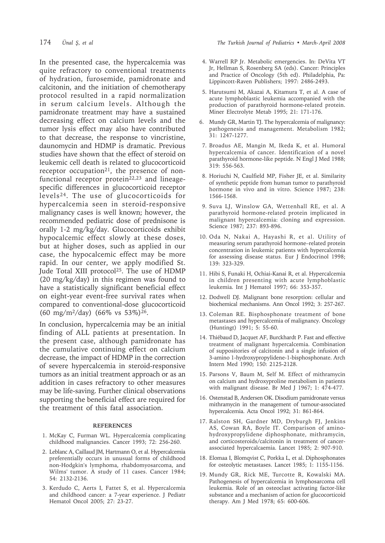In the presented case, the hypercalcemia was quite refractory to conventional treatments of hydration, furosemide, pamidronate and calcitonin, and the initiation of chemotherapy protocol resulted in a rapid normalization in serum calcium levels. Although the pamidronate treatment may have a sustained decreasing effect on calcium levels and the tumor lysis effect may also have contributed to that decrease, the response to vincristine, daunomycin and HDMP is dramatic. Previous studies have shown that the effect of steroid on leukemic cell death is related to glucocorticoid receptor occupation<sup>21</sup>, the presence of nonfunctional receptor protein $22,23$  and lineagespecific differences in glucocorticoid receptor levels24. The use of glucocorticoids for hypercalcemia seen in steroid-responsive malignancy cases is well known; however, the recommended pediatric dose of prednisone is orally 1-2 mg/kg/day. Glucocorticoids exhibit hypocalcemic effect slowly at these doses, but at higher doses, such as applied in our case, the hypocalcemic effect may be more rapid. In our center, we apply modified St. Jude Total XIII protocol<sup>25</sup>. The use of HDMP (20 mg/kg/day) in this regimen was found to have a statistically significant beneficial effect on eight-year event-free survival rates when compared to conventional-dose glucocorticoid (60 mg/m2/day) (66% vs 53%)26.

In conclusion, hypercalcemia may be an initial finding of ALL patients at presentation. In the present case, although pamidronate has the cumulative continuing effect on calcium decrease, the impact of HDMP in the correction of severe hypercalcemia in steroid-responsive tumors as an initial treatment approach or as an addition in cases refractory to other measures may be life-saving. Further clinical observations supporting the beneficial effect are required for the treatment of this fatal association.

### **REFERENCES**

- 1. McKay C, Furman WL. Hypercalcemia complicating childhood malignancies. Cancer 1993; 72: 256-260.
- 2. Leblanc A, Caillaud JM, Hartmann O, et al. Hypercalcemia preferentially occurs in unusual forms of childhood non-Hodgkin's lymphoma, rhabdomyosarcoma, and Wilms' tumor. A study of 11 cases. Cancer 1984; 54: 2132-2136.
- 3. Kerdudo C, Aerts I, Fattet S, et al. Hypercalcemia and childhood cancer: a 7-year experience. J Pediatr Hematol Oncol 2005; 27: 23-27.
- 4. Warrell RP Jr. Metabolic emergencies. In: DeVita VT Jr, Hellman S, Rosenberg SA (eds). Cancer: Principles and Practice of Oncology (5th ed). Philadelphia, Pa: Lippincott-Raven Publishers; 1997: 2486-2493.
- 5. Harutsumi M, Akazai A, Kitamura T, et al. A case of acute lymphoblastic leukemia accompanied with the production of parathyroid hormone-related protein. Miner Electrolyte Metab 1995; 21: 171-176.
- 6. Mundy GR, Martin TJ. The hypercalcemia of malignancy: pathogenesis and management. Metabolism 1982; 31: 1247-1277.
- 7. Broadus AE, Mangin M, Ikeda K, et al. Humoral hypercalcemia of cancer. Identification of a novel parathyroid hormone-like peptide. N Engl J Med 1988; 319: 556-563.
- 8. Horiuchi N, Caulfield MP, Fisher JE, et al. Similarity of synthetic peptide from human tumor to parathyroid hormone in vivo and in vitro. Science 1987; 238: 1566-1568.
- 9. Suva LJ, Winslow GA, Wettenhall RE, et al. A parathyroid hormone-related protein implicated in malignant hypercalcemia: cloning and expression. Science 1987; 237: 893-896.
- 10. Oda N, Nakai A, Hayashi R, et al. Utility of measuring serum parathyroid hormone–related protein concentration in leukemic patients with hypercalcemia for assessing disease status. Eur J Endocrinol 1998; 139: 323-329.
- 11. Hibi S, Funaki H, Ochiai-Kanai R, et al. Hypercalcemia in children presenting with acute lymphoblastic leukemia. Int J Hematol 1997; 66: 353-357.
- 12. Dodwell DJ. Malignant bone resorption: cellular and biochemical mechanisms. Ann Oncol 1992; 3: 257-267.
- 13. Coleman RE. Bisphosphonate treatment of bone metastases and hypercalcemia of malignancy. Oncology (Huntingt) 1991; 5: 55-60.
- 14. Thiébaud D, Jacquet AF, Burckhardt P. Fast and effective treatment of malignant hypercalcemia. Combination of suppositories of calcitonin and a single infusion of 3-amino 1-hydroxypropylidene-1-bisphosphonate. Arch Intern Med 1990; 150: 2125-2128.
- 15. Parsons V, Baum M, Self M. Effect of mithramycin on calcium and hydroxyproline metabolism in patients with malignant disease. Br Med J 1967; 1: 474-477.
- 16. Ostenstad B, Andersen OK. Disodium pamidronate versus mithramycin in the management of tumour-associated hypercalcemia. Acta Oncol 1992; 31: 861-864.
- 17. Ralston SH, Gardner MD, Dryburgh FJ, Jenkins AS, Cowan RA, Boyle IT. Comparison of aminohydroxypropylidene diphosphonate, mithramycin, and corticosteroids/calcitonin in treatment of cancerassociated hypercalcaemia. Lancet 1985; 2: 907-910.
- 18. Elomaa I, Blomqvist C, Porkka L, et al. Diphosphonates for osteolytic metastases. Lancet 1985; 1: 1155-1156.
- 19. Mundy GR, Rick ME, Turcotte R, Kowalski MA. Pathogenesis of hypercalcemia in lymphosarcoma cell leukemia. Role of an osteoclast activating factor-like substance and a mechanism of action for glucocorticoid therapy. Am J Med 1978; 65: 600-606.